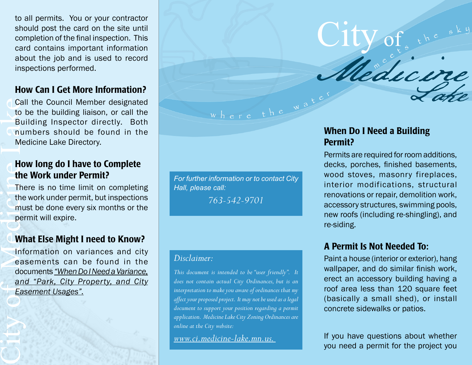to all permits. You or your contractor should post the card on the site until completion of the final inspection. This card contains important information about the job and is used to record inspections performed.

## How Can I Get More Information?

Cal to I<br>
bu Bu nulle<br>
Medicine Lake Medicine Lake Call<br>
Lake Medicine Lake Call<br>
Lake Call<br>
Lake Call Call the Council Member designated to be the building liaison, or call the Building Inspector directly. Both numbers should be found in the Medicine Lake Directory.

# How long do I have to Complete the Work under Permit?

There is no time limit on completing the work under permit, but inspections must be done every six months or the permit will expire.

### What Else Might I need to Know?

Information on variances and city easements can be found in the documents *"When Do I Need a Variance, and "Park, City Property, and City Easement Usages".*

*For further information or to contact City Hall, please call:*

where the wat

*763-542-9701*

#### *Disclaimer:*

*This document is intended to be "user friendly". It does not contain actual City Ordinances, but is an interpretation to make you aware of ordinances that my affect your proposed project. It may not be used as a legal document to support your position regarding a permit application. Medicine Lake City Zoning Ordinances are online at the City website:* 

*www.ci.medicine-lake.mn.us.* 

# When Do I Need a Building Permit?

City of

Permits are required for room additions, decks, porches, finished basements, wood stoves, masonry fireplaces, interior modifications, structural renovations or repair, demolition work, accessory structures, swimming pools, new roofs (including re-shingling), and re-siding.

Medicine

Lake

# A Permit Is Not Needed To:

Paint a house (interior or exterior), hang wallpaper, and do similar finish work, erect an accessory building having a roof area less than 120 square feet (basically a small shed), or install concrete sidewalks or patios.

If you have questions about whether you need a permit for the project you